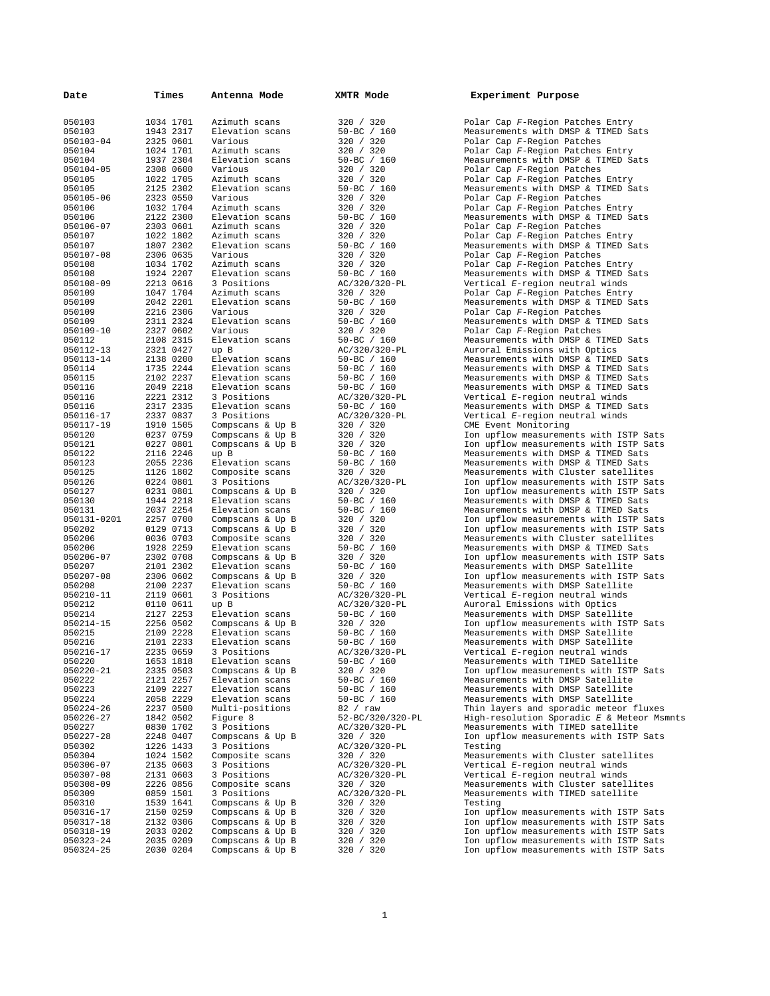| Date                | Times                  | Antenna Mode                   | XMTR Mode                    | Experiment Purpose                               |
|---------------------|------------------------|--------------------------------|------------------------------|--------------------------------------------------|
| 050103              | 1034 1701              | Azimuth scans                  | 320 / 320                    | Polar Cap F-Region Pat                           |
| 050103              | 1943 2317              | Elevation scans                | $50 - BC / 160$              | Measurements with DMSP                           |
| 050103-04           | 2325 0601              | Various                        | 320 / 320                    | Polar Cap F-Region Pat                           |
| 050104              | 1024 1701              | Azimuth scans                  | 320 / 320                    | Polar Cap F-Region Pat                           |
| 050104              | 1937 2304              | Elevation scans                | $50 - BC / 160$              | Measurements with DMSP                           |
| 050104-05           | 2308 0600              | Various                        | 320 / 320                    | Polar Cap F-Region Pat                           |
| 050105              | 1022 1705              | Azimuth scans                  | 320 / 320                    | Polar Cap F-Region Pat                           |
| 050105              | 2125 2302              | Elevation scans                | $50 - BC / 160$              | Measurements with DMSP                           |
| 050105-06           | 2323 0550              | Various                        | 320 / 320                    | Polar Cap F-Region Pat                           |
| 050106              | 1032 1704              | Azimuth scans                  | 320 / 320                    | Polar Cap F-Region Pat                           |
| 050106              | 2122 2300              | Elevation scans                | $50 - BC / 160$              | Measurements with DMSP                           |
| 050106-07           | 2303 0601              | Azimuth scans                  | 320 / 320                    | Polar Cap F-Region Pat                           |
| 050107              | 1022 1802              | Azimuth scans                  | 320 / 320                    | Polar Cap F-Region Pat                           |
| 050107              | 1807 2302              | Elevation scans                | $50 - BC / 160$              | Measurements with DMSP                           |
| 050107-08           | 2306 0635              | Various                        | 320 / 320                    | Polar Cap F-Region Pat                           |
| 050108              | 1034 1702              | Azimuth scans                  | 320 / 320                    | Polar Cap F-Region Pat                           |
| 050108              | 1924 2207              | Elevation scans                | $50 - BC / 160$              | Measurements with DMSP                           |
| 050108-09           | 2213 0616              | 3 Positions                    | AC/320/320-PL                | Vertical E-region neut                           |
| 050109              | 1047 1704              | Azimuth scans                  | 320 / 320                    | Polar Cap F-Region Pat                           |
| 050109              | 2042 2201              | Elevation scans                | $50 - BC / 160$              | Measurements with DMSP                           |
| 050109              | 2216 2306              | Various                        | 320 / 320                    | Polar Cap F-Region Pat                           |
| 050109              | 2311 2324              | Elevation scans                | $50 - BC / 160$              | Measurements with DMSP                           |
| 050109-10           | 2327 0602              | Various                        | 320 / 320                    | Polar Cap F-Region Pat                           |
| 050112              | 2108 2315              | Elevation scans                | $50 - BC$ / 160              | Measurements with DMSP                           |
| 050112-13           | 2321 0427              | up B                           | AC/320/320-PL                | Auroral Emissions with                           |
| 050113-14           | 2138 0200              | Elevation scans                | $50 - BC$ / 160              | Measurements with DMSP                           |
| 050114              | 1735 2244              | Elevation scans                | $50 - BC / 160$              | Measurements with DMSP                           |
| 050115              | 2102 2237              | Elevation scans                | $50 - BC$ / 160              | Measurements with DMSP                           |
| 050116              | 2049 2218              | Elevation scans                | $50 - BC / 160$              | Measurements with DMSP                           |
| 050116              | 2221 2312              | 3 Positions                    | AC/320/320-PL                | Vertical E-region neut                           |
| 050116              | 2317 2335              | Elevation scans                | $50 - BC / 160$              | Measurements with DMSP                           |
| 050116-17           | 2337 0837              | 3 Positions                    | AC/320/320-PL                | Vertical E-region neut                           |
| 050117-19           | 1910 1505              | Compscans & Up B               | 320 / 320                    | CME Event Monitoring                             |
| 050120              | 0237 0759              | Compscans & Up B               | 320 / 320                    | Ion upflow measurement                           |
| 050121              | 0227 0801              | Compscans & Up B               | 320 / 320                    | Ion upflow measurement                           |
| 050122              | 2116 2246              | up B                           | $50 - BC / 160$              | Measurements with DMSP                           |
| 050123              | 2055 2236              | Elevation scans                | $50 - BC / 160$              | Measurements with DMSP                           |
| 050125              | 1126 1802              | Composite scans                | 320 / 320                    | Measurements with Clus                           |
| 050126              | 0224 0801              | 3 Positions                    | AC/320/320-PL                | Ion upflow measurement                           |
| 050127              | 0231 0801              | Compscans & Up B               | 320 / 320                    | Ion upflow measurement                           |
| 050130              | 1944 2218              | Elevation scans                | $50 - BC / 160$              | Measurements with DMSP                           |
| 050131              | 2037 2254              | Elevation scans                | $50 - BC$ / 160              | Measurements with DMSP                           |
| 050131-0201         | 2257 0700              | Compscans & Up B               | 320 / 320                    | Ion upflow measurement                           |
| 050202              | 0129 0713              | Compscans & Up B               | 320 / 320                    | Ion upflow measurement                           |
| 050206              | 0036 0703              | Composite scans                | 320 / 320                    | Measurements with Clus                           |
| 050206              | 1928 2259              | Elevation scans                | $50 - BC / 160$              | Measurements with DMSP                           |
| 050206-07           | 2302 0708              | Compscans & Up B               | 320 / 320                    | Ion upflow measurement                           |
| 050207              | 2101 2302              | Elevation scans                | $50 - BC / 160$              | Measurements with DMSP                           |
| 050207-08           | 2306 0602              | Compscans & Up B               | 320 / 320                    | Ion upflow measurement                           |
| 050208              | 2100 2237              | Elevation scans                | $50 - BC$ / 160              | Measurements with DMSP                           |
| 050210-11           | 2119 0601              | 3 Positions                    | AC/320/320-PL                | Vertical E-region neut                           |
| 050212              | 0110 0611              | up B                           | AC/320/320-PL                | Auroral Emissions with                           |
| 050214              | 2127 2253              | Elevation scans                | $50 - BC / 160$              | Measurements with DMSP                           |
| 050214-15           | 2256 0502              | Compscans & Up B               | 320 / 320                    | Ion upflow measurement                           |
| 050215              | 2109 2228              | Elevation scans                | $50 - BC$ / 160              | Measurements with DMSP                           |
| 050216              | 2101 2233              | Elevation scans                | $50 - BC$ / 160              | Measurements with DMSP                           |
| 050216-17<br>050220 | 2235 0659<br>1653 1818 | 3 Positions<br>Elevation scans | AC/320/320-PL<br>50-BC / 160 | Vertical E-region neut                           |
| 050220-21           | 2335 0503              | Compscans & Up B               | 320 / 320                    | Measurements with TIME<br>Ion upflow measurement |
| 050222              | 2121 2257              | Elevation scans                | 50-BC / 160                  | Measurements with DMSP                           |
| 050223              | 2109 2227              | Elevation scans                | $50 - BC / 160$              | Measurements with DMSP                           |
| 050224              | 2058 2229              | Elevation scans                | 50-BC / 160                  | Measurements with DMSP                           |
| 050224-26           | 2237 0500              | Multi-positions                | 82 / raw                     | Thin layers and sporad                           |
| 050226-27           | 1842 0502              | Figure 8                       | 52-BC/320/320-PL             | High-resolution Sporad                           |
| 050227              | 0830 1702              | 3 Positions                    | AC/320/320-PL                | Measurements with TIME                           |
| 050227-28           | 2248 0407              | Compscans & Up B               | 320 / 320                    | Ion upflow measurement                           |
| 050302              | 1226 1433              | 3 Positions                    | AC/320/320-PL                | Testing                                          |
| 050304              | 1024 1502              | Composite scans                | 320 / 320                    | Measurements with Clus                           |
| 050306-07           | 2135 0603              | 3 Positions                    | AC/320/320-PL                | Vertical E-region neut                           |
| 050307-08           | 2131 0603              | 3 Positions                    | AC/320/320-PL                | Vertical E-region neut                           |
| 050308-09           | 2226 0856              | Composite scans                | 320 / 320                    | Measurements with Clus                           |
| 050309              | 0859 1501              | 3 Positions                    | AC/320/320-PL                | Measurements with TIME                           |
| 050310              | 1539 1641              | Compscans & Up B               | 320 / 320                    | Testing                                          |
| 050316-17           | 2150 0259              | Compscans & Up B               | 320 / 320                    | Ion upflow measurement                           |
| 050317-18           | 2132 0306              | Compscans & Up B               | 320 / 320                    | Ion upflow measurement                           |
| 050318-19           | 2033 0202              | Compscans & Up B               | 320 / 320                    | Ion upflow measurement                           |
| 050323-24           | 2035 0209              | Compscans & Up B               | 320 / 320                    | Ion upflow measurement                           |
| 050324-25           | 2030 0204              | Compscans & Up B               | 320 / 320                    | Ion upflow measurement                           |

| 320<br>320<br>1                                                                                                                                                                                                                                                                                                                                                                                                                  |  |
|----------------------------------------------------------------------------------------------------------------------------------------------------------------------------------------------------------------------------------------------------------------------------------------------------------------------------------------------------------------------------------------------------------------------------------|--|
| $50 - BC$<br>160<br>320<br>320<br>$\overline{1}$<br>320<br>320                                                                                                                                                                                                                                                                                                                                                                   |  |
| $50 - B$<br>/ 160<br>,<br>320<br>320 /                                                                                                                                                                                                                                                                                                                                                                                           |  |
| 320<br>320<br>/ 160<br>50-B<br>,<br>320<br>$\overline{\phantom{a}}$                                                                                                                                                                                                                                                                                                                                                              |  |
| 320<br>320<br>$\overline{\phantom{a}}$<br>320<br>/ 160<br>$50 - B$                                                                                                                                                                                                                                                                                                                                                               |  |
| 320 /<br>320<br>$\overline{\phantom{a}}$<br>320<br>320<br>/ 160<br>$50 - BC$                                                                                                                                                                                                                                                                                                                                                     |  |
| 320<br>320 /<br>$\overline{\phantom{a}}$<br>320<br>320                                                                                                                                                                                                                                                                                                                                                                           |  |
| $50 - BC$<br>--- , , , , ,<br>50-BC / 160<br>AC/320/320-PL                                                                                                                                                                                                                                                                                                                                                                       |  |
| $320 / 320$<br>$50 - BC / 160$<br>$320 / 320$<br>$50 - BC / 160$<br>$320 / 320$<br>$50 - BC / 160$<br>$50 - BC / 160$                                                                                                                                                                                                                                                                                                            |  |
| $\frac{7}{160}$<br>320<br>$\frac{160}{160}$                                                                                                                                                                                                                                                                                                                                                                                      |  |
| AC/320/320-PL                                                                                                                                                                                                                                                                                                                                                                                                                    |  |
| $/320-$<br>$/160$<br>$/160$<br>$/160$<br>$/16$<br>---, ---<br>50-BC<br>50-BC<br>50-BC<br>50-BC                                                                                                                                                                                                                                                                                                                                   |  |
| AC/320/320-PL<br>$50 - BC$ / 160                                                                                                                                                                                                                                                                                                                                                                                                 |  |
| AC/320/320-PL                                                                                                                                                                                                                                                                                                                                                                                                                    |  |
| 10, 320/32<br>320 / 320<br>320 / 320<br>320 / 320<br>50-BC / 1<br>320 / 320<br>AC/320/22<br>160                                                                                                                                                                                                                                                                                                                                  |  |
|                                                                                                                                                                                                                                                                                                                                                                                                                                  |  |
| $\begin{array}{r} \mathbb{L}0 \\ \mathbb{L}2 \times 100 \\ \mathbb{R}2 \times 100 \\ \mathbb{R}2 \times 100 \\ \mathbb{R}2 \times 100 \\ \mathbb{R}2 \times 100 \\ \mathbb{R}2 \times 100 \\ \mathbb{R}2 \times 100 \\ \mathbb{R}2 \times 100 \\ \mathbb{R}2 \times 100 \\ \mathbb{R}2 \times 100 \\ \mathbb{R}2 \times 100 \\ \mathbb{R}2 \times 100 \\ \mathbb{R}2 \times 100 \\ \mathbb{R}2 \times 100 \\ \mathbb{R}2 \times$ |  |
|                                                                                                                                                                                                                                                                                                                                                                                                                                  |  |
|                                                                                                                                                                                                                                                                                                                                                                                                                                  |  |
|                                                                                                                                                                                                                                                                                                                                                                                                                                  |  |
| 320 /<br>320                                                                                                                                                                                                                                                                                                                                                                                                                     |  |
| $\begin{array}{c} 50 - BC / 160 \\ AC / 320 / 320 - PL \\ AC / 320 / 320 - PL \\ 50 - BC / 160 \\ 5320 / 320 \\ 50 - DC / 160 \\ 50 - DC / 160 \\ 50 - DC / 160 \\ 50 - DC / 160 \\ 50 - DC / 160 \\ 50 - DC / 160 \\ 50 - DC / 160 \\ 50 - DC / 160 \\ 50 - DC / 160 \\ 50 - DC / 160 \\ 50 - DC / 160 \\ 50 - 160 \\ 50 - 160 \\ 50 - 160 \\ 50 -$                                                                             |  |
| $50 - BC$<br>$320$ /<br>$50 - BC$<br>$50 - BC$<br>$\frac{1}{1}$<br>160                                                                                                                                                                                                                                                                                                                                                           |  |
| 160<br>$AC/320/320-PL$                                                                                                                                                                                                                                                                                                                                                                                                           |  |
| $50-BC$ / 160<br>320 / 320<br>50-BC<br>160                                                                                                                                                                                                                                                                                                                                                                                       |  |
| 50-вс<br>50-вс<br>$\overline{1}$<br>160<br>I<br>160<br>82<br>$/$ raw                                                                                                                                                                                                                                                                                                                                                             |  |
| --<br>52-BC/320/320-P<br>AC/320/320-PL                                                                                                                                                                                                                                                                                                                                                                                           |  |
| 320 / 320<br>---<br>/320-PL<br>32<br>AC/<br>0<br>$\frac{1}{\sqrt{2}}$<br>320<br>320                                                                                                                                                                                                                                                                                                                                              |  |
| AC/320/320-PL<br>AC/320/320-PL                                                                                                                                                                                                                                                                                                                                                                                                   |  |
| .<br>320<br>320<br>/ 320<br>320/320-PL<br>AC/<br>. –<br>320<br>320                                                                                                                                                                                                                                                                                                                                                               |  |
| $\frac{1}{2}$<br>320<br>320<br>320<br>320                                                                                                                                                                                                                                                                                                                                                                                        |  |
| $\frac{1}{2}$<br>320<br>320<br>320<br>320<br>320<br>320                                                                                                                                                                                                                                                                                                                                                                          |  |

Polar Cap F-Region Patches Entry Measurements with DMSP & TIMED Sats Polar Cap F-Region Patches Polar Cap *F*-Region Patches Entry Measurements with DMSP & TIMED Sats Polar Cap F-Region Patches Polar Cap *F*-Region Patches Entry Measurements with DMSP & TIMED Sats Polar Cap F-Region Patches Polar Cap *F*-Region Patches Entry Measurements with DMSP & TIMED Sats 050106-07 2303 0601 Azimuth scans 320 / 320 Polar Cap *F*-Region Patches 050107 1022 1802 Azimuth scans 320 / 320 Polar Cap *F*-Region Patches Entry Measurements with DMSP & TIMED Sats Polar Cap *F*-Region Patches Polar Cap F-Region Patches Entry Measurements with DMSP & TIMED Sats Vertical *E*-region neutral winds Polar Cap F-Region Patches Entry Measurements with DMSP & TIMED Sats 050109 2216 2306 Various 320 / 320 Polar Cap *F*-Region Patches Measurements with DMSP & TIMED Sats Polar Cap *F*-Region Patches Measurements with DMSP & TIMED Sats Auroral Emissions with Optics Measurements with DMSP & TIMED Sats Measurements with DMSP & TIMED Sats Measurements with DMSP & TIMED Sats Measurements with DMSP & TIMED Sats Vertical *E*-region neutral winds Measurements with DMSP & TIMED Sats Vertical *E*-region neutral winds CME Event Monitoring Ion upflow measurements with ISTP Sats Ion upflow measurements with ISTP Sats Measurements with DMSP & TIMED Sats Measurements with DMSP & TIMED Sats Measurements with Cluster satellites Ion upflow measurements with ISTP Sats Ion upflow measurements with ISTP Sats Measurements with DMSP & TIMED Sats Measurements with DMSP & TIMED Sats Ion upflow measurements with ISTP Sats Ion upflow measurements with ISTP Sats Measurements with Cluster satellites Measurements with DMSP & TIMED Sats Ion upflow measurements with ISTP Sats Measurements with DMSP Satellite Ion upflow measurements with ISTP Sats Measurements with DMSP Satellite Vertical *E-region* neutral winds Auroral Emissions with Optics Measurements with DMSP Satellite Ion upflow measurements with ISTP Sats Measurements with DMSP Satellite Measurements with DMSP Satellite Vertical *E*-region neutral winds Measurements with TIMED Satellite Ion upflow measurements with ISTP Sats Measurements with DMSP Satellite Measurements with DMSP Satellite Measurements with DMSP Satellite Thin layers and sporadic meteor fluxes<br>DI. Bigh-resolution Sporadic E & Meteor Msp High-resolution Sporadic *E* & Meteor Msmnts Measurements with TIMED satellite Ion upflow measurements with ISTP Sats<br>Testing Measurements with Cluster satellites Vertical *E-region neutral winds* 050307-08 2131 0603 3 Positions AC/320/320-PL Vertical *E*-region neutral winds Measurements with Cluster satellites Measurements with TIMED satellite<br>Testing Ion upflow measurements with ISTP Sats Ion upflow measurements with ISTP Sats Ion upflow measurements with ISTP Sats Ion upflow measurements with ISTP Sats 050324-25 2030 0204 Compscans & Up B 320 / 320 Ion upflow measurements with ISTP Sats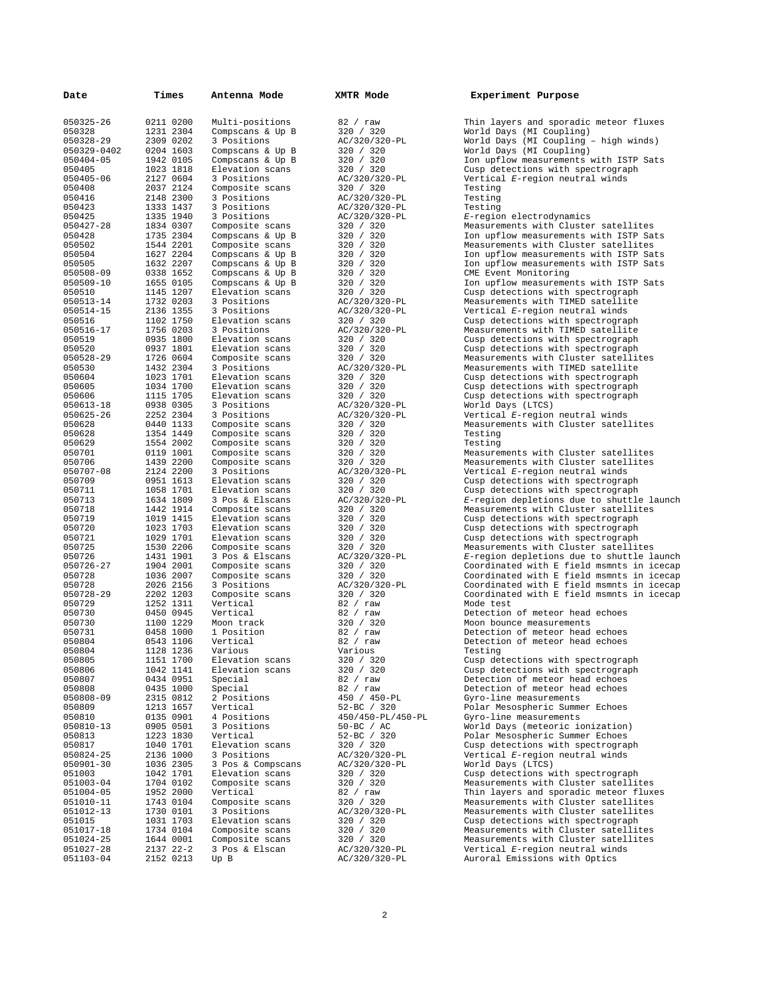| Date                   | Times                  | Antenna Mode                        | XMTR Mode                  | Experiment Purpose                                                             |
|------------------------|------------------------|-------------------------------------|----------------------------|--------------------------------------------------------------------------------|
|                        |                        |                                     |                            |                                                                                |
| 050325-26              | 0211 0200              | Multi-positions                     | 82 / raw                   | Thin layers and sporadic meteor fluxes                                         |
| 050328                 | 1231 2304              | Compscans & Up B                    | 320 / 320                  | World Days (MI Coupling)                                                       |
| 050328-29              | 2309 0202              | 3 Positions                         | AC/320/320-PL              | World Days (MI Coupling - high winds)                                          |
| 050329-0402            | 0204 1603              | Compscans & Up B                    | 320 / 320                  | World Days (MI Coupling)                                                       |
| 050404-05              | 1942 0105              | Compscans & Up B                    | 320 / 320                  | Ion upflow measurements with ISTP Sats                                         |
| 050405                 | 1023 1818              | Elevation scans                     | 320 / 320                  | Cusp detections with spectrograph                                              |
| 050405-06              | 2127 0604              | 3 Positions                         | AC/320/320-PL              | Vertical E-region neutral winds                                                |
| 050408                 | 2037 2124              | Composite scans                     | 320 / 320                  | Testing                                                                        |
| 050416                 | 2148 2300              | 3 Positions                         | AC/320/320-PL              | Testing                                                                        |
| 050423                 | 1333 1437              | 3 Positions                         | AC/320/320-PL              | Testing                                                                        |
| 050425                 | 1335 1940              | 3 Positions                         | AC/320/320-PL              | E-region electrodynamics<br>Measurements with Cluster satellites               |
| 050427-28              | 1834 0307              | Composite scans                     | 320 / 320                  |                                                                                |
| 050428<br>050502       | 1735 2304<br>1544 2201 | Compscans & Up B                    | 320 / 320<br>320 / 320     | Ion upflow measurements with ISTP Sats<br>Measurements with Cluster satellites |
| 050504                 | 1627 2204              | Composite scans<br>Compscans & Up B | 320 / 320                  | Ion upflow measurements with ISTP Sats                                         |
| 050505                 | 1632 2207              | Compscans & Up B                    | 320 / 320                  | Ion upflow measurements with ISTP Sats                                         |
| 050508-09              | 0338 1652              | Compscans & Up B                    | 320 / 320                  | CME Event Monitoring                                                           |
| 050509-10              | 1655 0105              | Compscans & Up B                    | 320 / 320                  | Ion upflow measurements with ISTP Sats                                         |
| 050510                 | 1145 1207              | Elevation scans                     | 320 / 320                  | Cusp detections with spectrograph                                              |
| 050513-14              | 1732 0203              | 3 Positions                         | AC/320/320-PL              | Measurements with TIMED satellite                                              |
| 050514-15              | 2136 1355              | 3 Positions                         | AC/320/320-PL              | Vertical E-region neutral winds                                                |
| 050516                 | 1102 1750              | Elevation scans                     | 320 / 320                  | Cusp detections with spectrograph                                              |
| 050516-17              | 1756 0203              | 3 Positions                         | AC/320/320-PL              | Measurements with TIMED satellite                                              |
| 050519                 | 0935 1800              | Elevation scans                     | 320 / 320                  | Cusp detections with spectrograph                                              |
| 050520                 | 0937 1801              | Elevation scans                     | 320 / 320                  | Cusp detections with spectrograph                                              |
| 050528-29              | 1726 0604              | Composite scans                     | 320 / 320                  | Measurements with Cluster satellites                                           |
| 050530                 | 1432 2304              | 3 Positions                         | AC/320/320-PL              | Measurements with TIMED satellite                                              |
| 050604                 | 1023 1701              | Elevation scans                     | 320 / 320                  | Cusp detections with spectrograph                                              |
| 050605                 | 1034 1700              | Elevation scans                     | 320 / 320                  | Cusp detections with spectrograph                                              |
| 050606                 | 1115 1705              | Elevation scans                     | 320 / 320                  | Cusp detections with spectrograph                                              |
| 050613-18              | 0938 0305              | 3 Positions                         | AC/320/320-PL              | World Days (LTCS)                                                              |
| 050625-26              | 2252 2304              | 3 Positions                         | AC/320/320-PL              | Vertical E-region neutral winds                                                |
| 050628                 | 0440 1133              | Composite scans                     | 320 / 320                  | Measurements with Cluster satellites                                           |
| 050628                 | 1354 1449              | Composite scans                     | 320 / 320                  | Testing                                                                        |
| 050629                 | 1554 2002              | Composite scans                     | 320 / 320                  | Testing                                                                        |
| 050701                 | 0119 1001              | Composite scans                     | 320 / 320                  | Measurements with Cluster satellites                                           |
| 050706                 | 1439 2200              | Composite scans                     | 320 / 320                  | Measurements with Cluster satellites                                           |
| 050707-08              | 2124 2200              | 3 Positions                         | AC/320/320-PL              | Vertical E-region neutral winds                                                |
| 050709                 | 0951 1613              | Elevation scans                     | 320 / 320                  | Cusp detections with spectrograph                                              |
| 050711                 | 1058 1701              | Elevation scans                     | 320 / 320                  | Cusp detections with spectrograph                                              |
| 050713                 | 1634 1809<br>1442 1914 | 3 Pos & Elscans                     | AC/320/320-PL<br>320 / 320 | E-region depletions due to shuttle launch                                      |
| 050718<br>050719       | 1019 1415              | Composite scans<br>Elevation scans  | 320 / 320                  | Measurements with Cluster satellites<br>Cusp detections with spectrograph      |
| 050720                 | 1023 1703              | Elevation scans                     | 320 / 320                  | Cusp detections with spectrograph                                              |
| 050721                 | 1029 1701              | Elevation scans                     | 320 / 320                  | Cusp detections with spectrograph                                              |
| 050725                 | 1530 2206              | Composite scans                     | 320 / 320                  | Measurements with Cluster satellites                                           |
| 050726                 | 1431 1901              | 3 Pos & Elscans                     | AC/320/320-PL              | E-region depletions due to shuttle launch                                      |
| 050726-27              | 1904 2001              | Composite scans                     | 320 / 320                  | Coordinated with E field msmnts in icecap                                      |
| 050728                 | 1036 2007              | Composite scans                     | 320 / 320                  | Coordinated with E field msmnts in icecap                                      |
| 050728                 | 2026 2156              | 3 Positions                         | AC/320/320-PL              | Coordinated with E field msmnts in icecap                                      |
| 050728-29              | 2202 1203              | Composite scans                     | 320 / 320                  | Coordinated with E field msmnts in icecap                                      |
| 050729                 | 1252 1311              | Vertical                            | 82 / raw                   | Mode test                                                                      |
| 050730                 | 0450 0945              | Vertical                            | 82 / raw                   | Detection of meteor head echoes                                                |
| 050730                 | 1100 1229              | Moon track                          | 320 / 320                  | Moon bounce measurements                                                       |
| 050731                 | 0458 1000              | 1 Position                          | 82 / raw                   | Detection of meteor head echoes                                                |
| 050804                 | 0543 1106              | Vertical                            | 82 / raw                   | Detection of meteor head echoes                                                |
| 050804                 | 1128 1236              | Various                             | Various                    | Testing                                                                        |
| 050805                 | 1151 1700              | Elevation scans                     | 320 / 320                  | Cusp detections with spectrograph                                              |
| 050806                 | 1042 1141              | Elevation scans                     | 320 / 320                  | Cusp detections with spectrograph                                              |
| 050807                 | 0434 0951              | Special                             | 82 / raw                   | Detection of meteor head echoes                                                |
| 050808                 | 0435 1000              | Special                             | 82 / raw                   | Detection of meteor head echoes                                                |
| 050808-09              | 2315 0812              | 2 Positions                         | 450 / 450-PL               | Gyro-line measurements                                                         |
| 050809                 | 1213 1657              | Vertical                            | 52-BC / 320                | Polar Mesospheric Summer Echoes                                                |
| 050810                 | 0135 0901              | 4 Positions                         | 450/450-PL/450-PL          | Gyro-line measurements                                                         |
| 050810-13              | 0905 0501              | 3 Positions                         | 50-BC / AC                 | World Days (meteoric ionization)                                               |
| 050813                 | 1223 1830              | Vertical                            | 52-BC / 320                | Polar Mesospheric Summer Echoes                                                |
| 050817                 | 1040 1701              | Elevation scans                     | 320 / 320                  | Cusp detections with spectrograph                                              |
| 050824-25              | 2136 1000              | 3 Positions                         | AC/320/320-PL              | Vertical E-region neutral winds                                                |
| 050901-30              | 1036 2305              | 3 Pos & Compscans                   | AC/320/320-PL              | World Days (LTCS)                                                              |
| 051003                 | 1042 1701              | Elevation scans                     | 320 / 320                  | Cusp detections with spectrograph                                              |
| 051003-04              | 1704 0102              | Composite scans                     | 320 / 320                  | Measurements with Cluster satellites                                           |
| 051004-05              | 1952 2000              | Vertical                            | 82 / raw                   | Thin layers and sporadic meteor fluxes                                         |
| 051010-11              | 1743 0104              | Composite scans                     | 320 / 320                  | Measurements with Cluster satellites                                           |
| 051012-13              | 1730 0101              | 3 Positions                         | AC/320/320-PL              | Measurements with Cluster satellites                                           |
| 051015                 | 1031 1703              | Elevation scans                     | 320 / 320                  | Cusp detections with spectrograph                                              |
| 051017-18              | 1734 0104              | Composite scans                     | 320 / 320                  | Measurements with Cluster satellites                                           |
| 051024-25<br>051027-28 | 1644 0001<br>2137 22-2 | Composite scans<br>3 Pos & Elscan   | 320 / 320<br>AC/320/320-PL | Measurements with Cluster satellites<br>Vertical E-region neutral winds        |
| 051103-04              | 2152 0213              | Up B                                | AC/320/320-PL              | Auroral Emissions with Optics                                                  |
|                        |                        |                                     |                            |                                                                                |